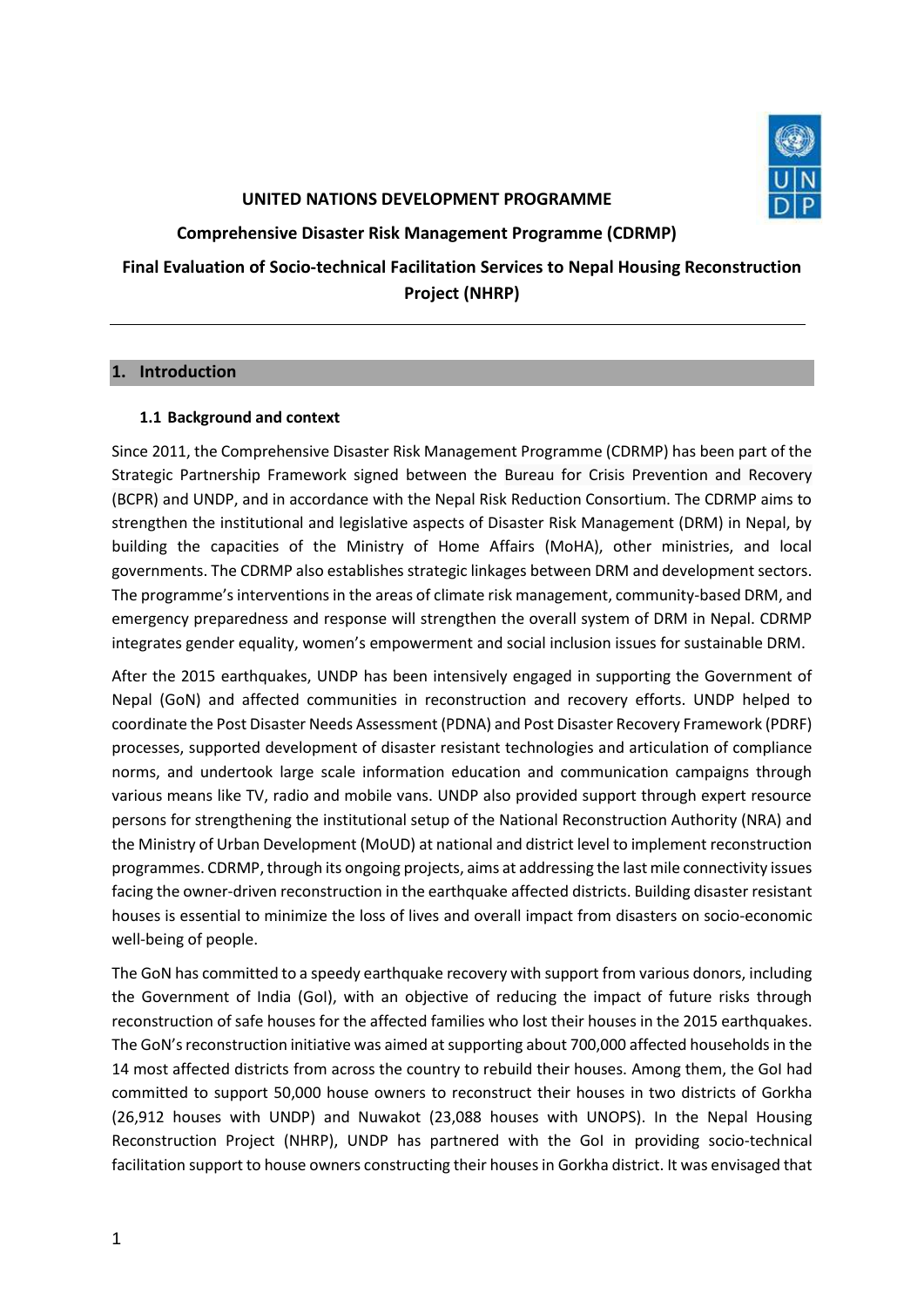

#### **UNITED NATIONS DEVELOPMENT PROGRAMME**

**Comprehensive Disaster Risk Management Programme (CDRMP)**

**Final Evaluation of Socio-technical Facilitation Services to Nepal Housing Reconstruction Project (NHRP)**

## **1. Introduction**

## **1.1 Background and context**

Since 2011, the Comprehensive Disaster Risk Management Programme (CDRMP) has been part of the Strategic Partnership Framework signed between the Bureau for Crisis Prevention and Recovery (BCPR) and UNDP, and in accordance with the Nepal Risk Reduction Consortium. The CDRMP aims to strengthen the institutional and legislative aspects of Disaster Risk Management (DRM) in Nepal, by building the capacities of the Ministry of Home Affairs (MoHA), other ministries, and local governments. The CDRMP also establishes strategic linkages between DRM and development sectors. The programme's interventions in the areas of climate risk management, community-based DRM, and emergency preparedness and response will strengthen the overall system of DRM in Nepal. CDRMP integrates gender equality, women's empowerment and social inclusion issues for sustainable DRM.

After the 2015 earthquakes, UNDP has been intensively engaged in supporting the Government of Nepal (GoN) and affected communities in reconstruction and recovery efforts. UNDP helped to coordinate the Post Disaster Needs Assessment (PDNA) and Post Disaster Recovery Framework (PDRF) processes, supported development of disaster resistant technologies and articulation of compliance norms, and undertook large scale information education and communication campaigns through various means like TV, radio and mobile vans. UNDP also provided support through expert resource persons for strengthening the institutional setup of the National Reconstruction Authority (NRA) and the Ministry of Urban Development (MoUD) at national and district level to implement reconstruction programmes. CDRMP, through its ongoing projects, aims at addressing the last mile connectivity issues facing the owner-driven reconstruction in the earthquake affected districts. Building disaster resistant houses is essential to minimize the loss of lives and overall impact from disasters on socio-economic well-being of people.

The GoN has committed to a speedy earthquake recovery with support from various donors, including the Government of India (GoI), with an objective of reducing the impact of future risks through reconstruction of safe houses for the affected families who lost their houses in the 2015 earthquakes. The GoN's reconstruction initiative was aimed at supporting about 700,000 affected households in the 14 most affected districts from across the country to rebuild their houses. Among them, the GoI had committed to support 50,000 house owners to reconstruct their houses in two districts of Gorkha (26,912 houses with UNDP) and Nuwakot (23,088 houses with UNOPS). In the Nepal Housing Reconstruction Project (NHRP), UNDP has partnered with the GoI in providing socio-technical facilitation support to house owners constructing their houses in Gorkha district. It was envisaged that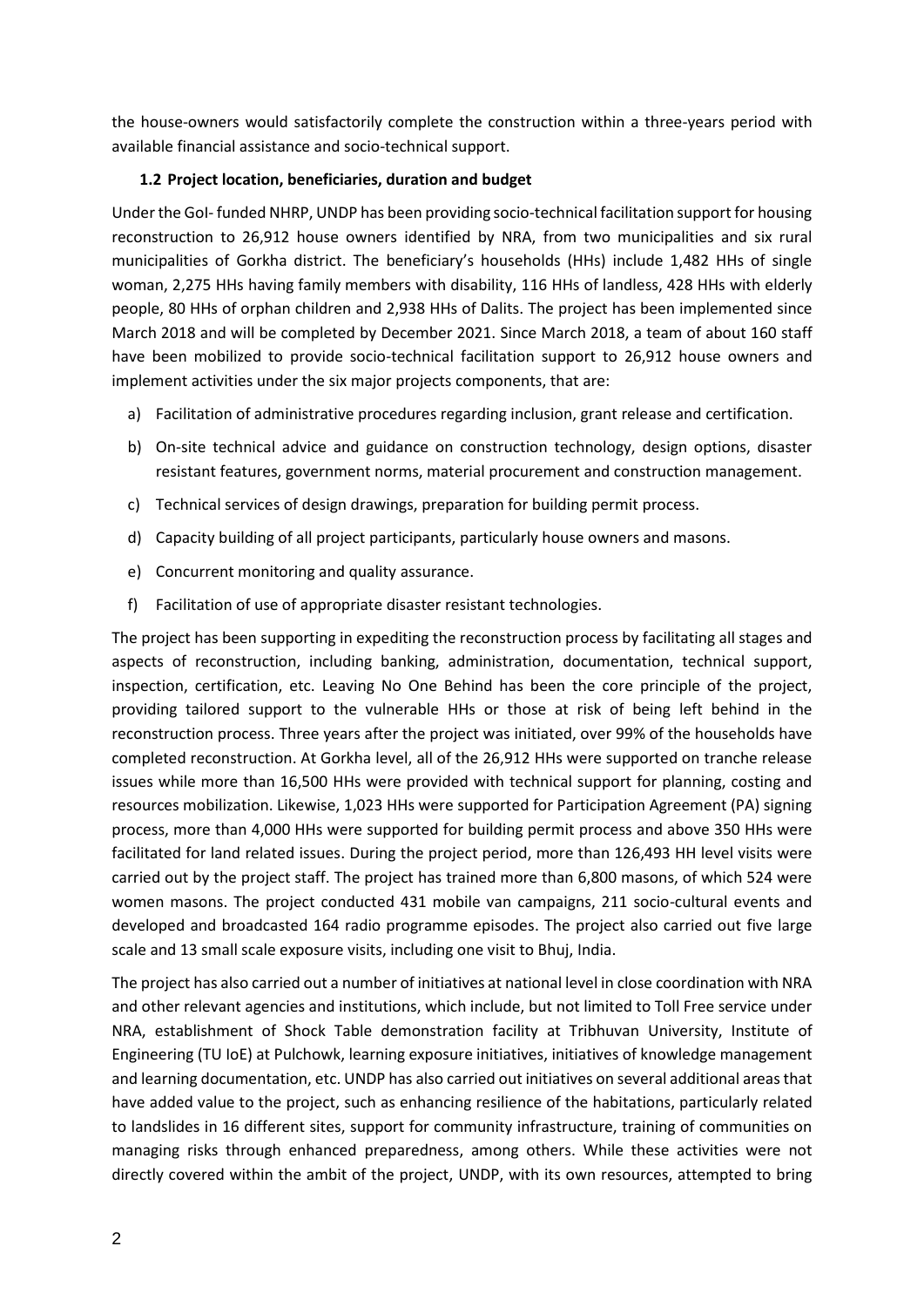the house-owners would satisfactorily complete the construction within a three-years period with available financial assistance and socio-technical support.

# **1.2 Project location, beneficiaries, duration and budget**

Under the GoI- funded NHRP, UNDP has been providing socio-technical facilitation support for housing reconstruction to 26,912 house owners identified by NRA, from two municipalities and six rural municipalities of Gorkha district. The beneficiary's households (HHs) include 1,482 HHs of single woman, 2,275 HHs having family members with disability, 116 HHs of landless, 428 HHs with elderly people, 80 HHs of orphan children and 2,938 HHs of Dalits. The project has been implemented since March 2018 and will be completed by December 2021. Since March 2018, a team of about 160 staff have been mobilized to provide socio-technical facilitation support to 26,912 house owners and implement activities under the six major projects components, that are:

- a) Facilitation of administrative procedures regarding inclusion, grant release and certification.
- b) On-site technical advice and guidance on construction technology, design options, disaster resistant features, government norms, material procurement and construction management.
- c) Technical services of design drawings, preparation for building permit process.
- d) Capacity building of all project participants, particularly house owners and masons.
- e) Concurrent monitoring and quality assurance.
- f) Facilitation of use of appropriate disaster resistant technologies.

The project has been supporting in expediting the reconstruction process by facilitating all stages and aspects of reconstruction, including banking, administration, documentation, technical support, inspection, certification, etc. Leaving No One Behind has been the core principle of the project, providing tailored support to the vulnerable HHs or those at risk of being left behind in the reconstruction process. Three years after the project was initiated, over 99% of the households have completed reconstruction. At Gorkha level, all of the 26,912 HHs were supported on tranche release issues while more than 16,500 HHs were provided with technical support for planning, costing and resources mobilization. Likewise, 1,023 HHs were supported for Participation Agreement (PA) signing process, more than 4,000 HHs were supported for building permit process and above 350 HHs were facilitated for land related issues. During the project period, more than 126,493 HH level visits were carried out by the project staff. The project has trained more than 6,800 masons, of which 524 were women masons. The project conducted 431 mobile van campaigns, 211 socio-cultural events and developed and broadcasted 164 radio programme episodes. The project also carried out five large scale and 13 small scale exposure visits, including one visit to Bhuj, India.

The project has also carried out a number of initiatives at national level in close coordination with NRA and other relevant agencies and institutions, which include, but not limited to Toll Free service under NRA, establishment of Shock Table demonstration facility at Tribhuvan University, Institute of Engineering (TU IoE) at Pulchowk, learning exposure initiatives, initiatives of knowledge management and learning documentation, etc. UNDP has also carried out initiatives on several additional areas that have added value to the project, such as enhancing resilience of the habitations, particularly related to landslides in 16 different sites, support for community infrastructure, training of communities on managing risks through enhanced preparedness, among others. While these activities were not directly covered within the ambit of the project, UNDP, with its own resources, attempted to bring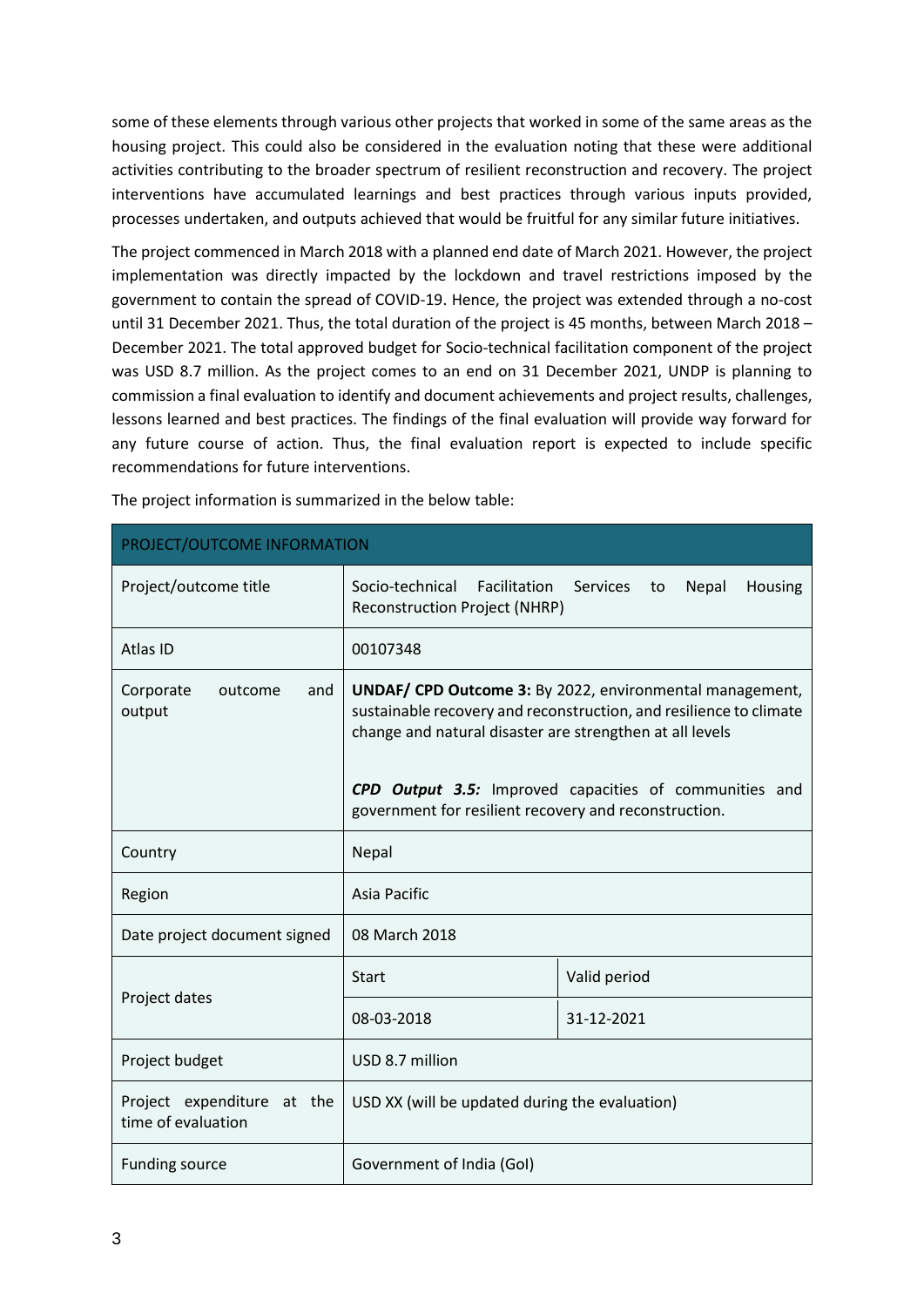some of these elements through various other projects that worked in some of the same areas as the housing project. This could also be considered in the evaluation noting that these were additional activities contributing to the broader spectrum of resilient reconstruction and recovery. The project interventions have accumulated learnings and best practices through various inputs provided, processes undertaken, and outputs achieved that would be fruitful for any similar future initiatives.

The project commenced in March 2018 with a planned end date of March 2021. However, the project implementation was directly impacted by the lockdown and travel restrictions imposed by the government to contain the spread of COVID-19. Hence, the project was extended through a no-cost until 31 December 2021. Thus, the total duration of the project is 45 months, between March 2018 – December 2021. The total approved budget for Socio-technical facilitation component of the project was USD 8.7 million. As the project comes to an end on 31 December 2021, UNDP is planning to commission a final evaluation to identify and document achievements and project results, challenges, lessons learned and best practices. The findings of the final evaluation will provide way forward for any future course of action. Thus, the final evaluation report is expected to include specific recommendations for future interventions.

| PROJECT/OUTCOME INFORMATION                      |                                                                                                                                                                                                                                                                                                                      |                                           |  |  |
|--------------------------------------------------|----------------------------------------------------------------------------------------------------------------------------------------------------------------------------------------------------------------------------------------------------------------------------------------------------------------------|-------------------------------------------|--|--|
| Project/outcome title                            | Socio-technical<br>Facilitation<br><b>Reconstruction Project (NHRP)</b>                                                                                                                                                                                                                                              | <b>Services</b><br>Nepal<br>Housing<br>to |  |  |
| Atlas ID                                         | 00107348                                                                                                                                                                                                                                                                                                             |                                           |  |  |
| Corporate<br>and<br>outcome<br>output            | <b>UNDAF/ CPD Outcome 3:</b> By 2022, environmental management,<br>sustainable recovery and reconstruction, and resilience to climate<br>change and natural disaster are strengthen at all levels<br>CPD Output 3.5: Improved capacities of communities and<br>government for resilient recovery and reconstruction. |                                           |  |  |
| Country                                          | Nepal                                                                                                                                                                                                                                                                                                                |                                           |  |  |
| Region                                           | <b>Asia Pacific</b>                                                                                                                                                                                                                                                                                                  |                                           |  |  |
| Date project document signed                     | 08 March 2018                                                                                                                                                                                                                                                                                                        |                                           |  |  |
|                                                  | <b>Start</b>                                                                                                                                                                                                                                                                                                         | Valid period                              |  |  |
| Project dates                                    | 08-03-2018                                                                                                                                                                                                                                                                                                           | 31-12-2021                                |  |  |
| Project budget                                   | USD 8.7 million                                                                                                                                                                                                                                                                                                      |                                           |  |  |
| Project expenditure at the<br>time of evaluation | USD XX (will be updated during the evaluation)                                                                                                                                                                                                                                                                       |                                           |  |  |
| <b>Funding source</b>                            | Government of India (GoI)                                                                                                                                                                                                                                                                                            |                                           |  |  |

The project information is summarized in the below table: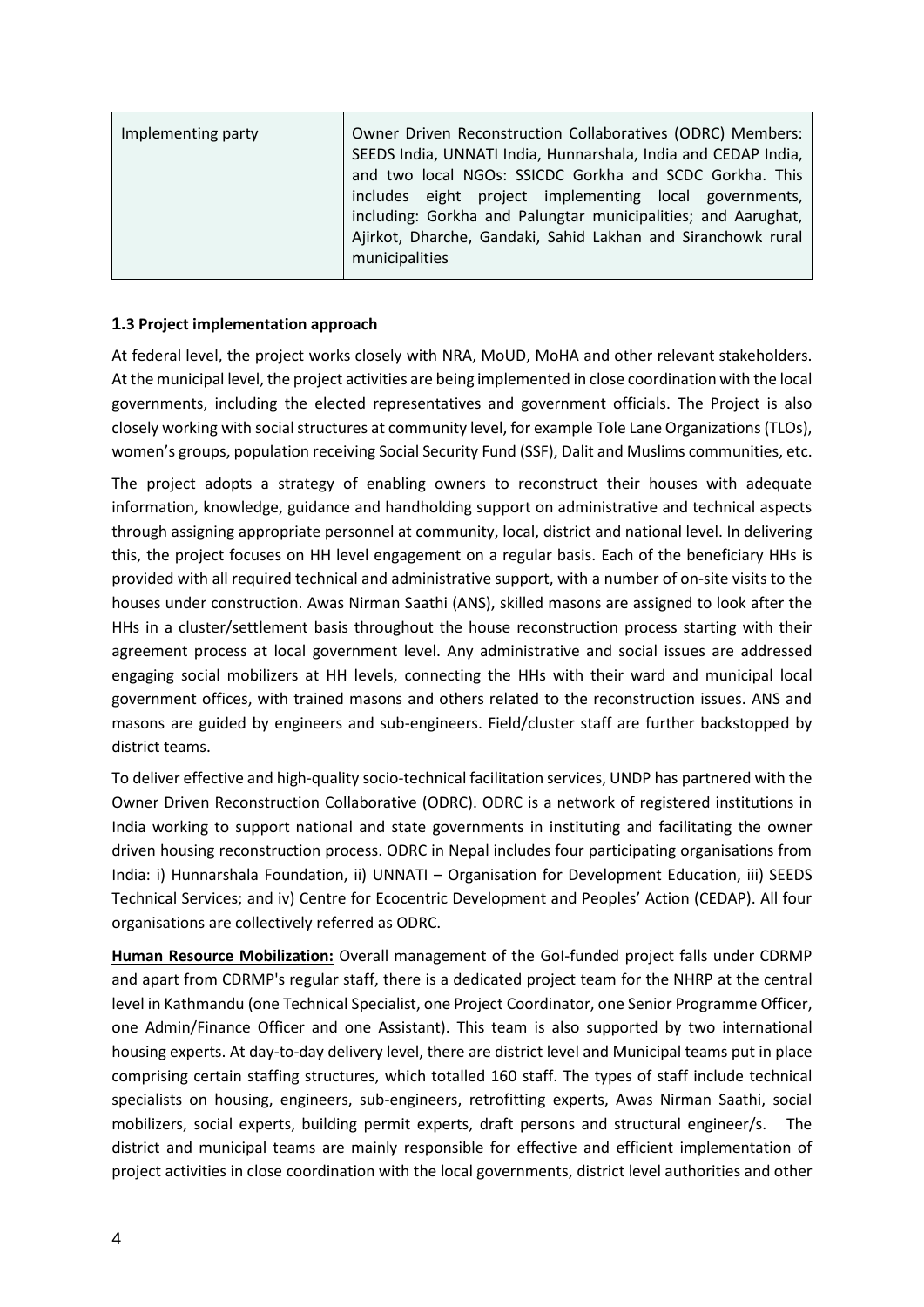| Implementing party | Owner Driven Reconstruction Collaboratives (ODRC) Members:<br>SEEDS India, UNNATI India, Hunnarshala, India and CEDAP India,<br>and two local NGOs: SSICDC Gorkha and SCDC Gorkha. This<br>includes eight project implementing local governments,<br>including: Gorkha and Palungtar municipalities; and Aarughat,<br>Ajirkot, Dharche, Gandaki, Sahid Lakhan and Siranchowk rural |  |
|--------------------|------------------------------------------------------------------------------------------------------------------------------------------------------------------------------------------------------------------------------------------------------------------------------------------------------------------------------------------------------------------------------------|--|
|                    | municipalities                                                                                                                                                                                                                                                                                                                                                                     |  |

## **1.3 Project implementation approach**

At federal level, the project works closely with NRA, MoUD, MoHA and other relevant stakeholders. At the municipal level, the project activities are being implemented in close coordination with the local governments, including the elected representatives and government officials. The Project is also closely working with social structures at community level, for example Tole Lane Organizations (TLOs), women's groups, population receiving Social Security Fund (SSF), Dalit and Muslims communities, etc.

The project adopts a strategy of enabling owners to reconstruct their houses with adequate information, knowledge, guidance and handholding support on administrative and technical aspects through assigning appropriate personnel at community, local, district and national level. In delivering this, the project focuses on HH level engagement on a regular basis. Each of the beneficiary HHs is provided with all required technical and administrative support, with a number of on-site visits to the houses under construction. Awas Nirman Saathi (ANS), skilled masons are assigned to look after the HHs in a cluster/settlement basis throughout the house reconstruction process starting with their agreement process at local government level. Any administrative and social issues are addressed engaging social mobilizers at HH levels, connecting the HHs with their ward and municipal local government offices, with trained masons and others related to the reconstruction issues. ANS and masons are guided by engineers and sub-engineers. Field/cluster staff are further backstopped by district teams.

To deliver effective and high-quality socio-technical facilitation services, UNDP has partnered with the Owner Driven Reconstruction Collaborative (ODRC). ODRC is a network of registered institutions in India working to support national and state governments in instituting and facilitating the owner driven housing reconstruction process. ODRC in Nepal includes four participating organisations from India: i) Hunnarshala Foundation, ii) UNNATI – Organisation for Development Education, iii) SEEDS Technical Services; and iv) Centre for Ecocentric Development and Peoples' Action (CEDAP). All four organisations are collectively referred as ODRC.

**Human Resource Mobilization:** Overall management of the GoI-funded project falls under CDRMP and apart from CDRMP's regular staff, there is a dedicated project team for the NHRP at the central level in Kathmandu (one Technical Specialist, one Project Coordinator, one Senior Programme Officer, one Admin/Finance Officer and one Assistant). This team is also supported by two international housing experts. At day-to-day delivery level, there are district level and Municipal teams put in place comprising certain staffing structures, which totalled 160 staff. The types of staff include technical specialists on housing, engineers, sub-engineers, retrofitting experts, Awas Nirman Saathi, social mobilizers, social experts, building permit experts, draft persons and structural engineer/s. The district and municipal teams are mainly responsible for effective and efficient implementation of project activities in close coordination with the local governments, district level authorities and other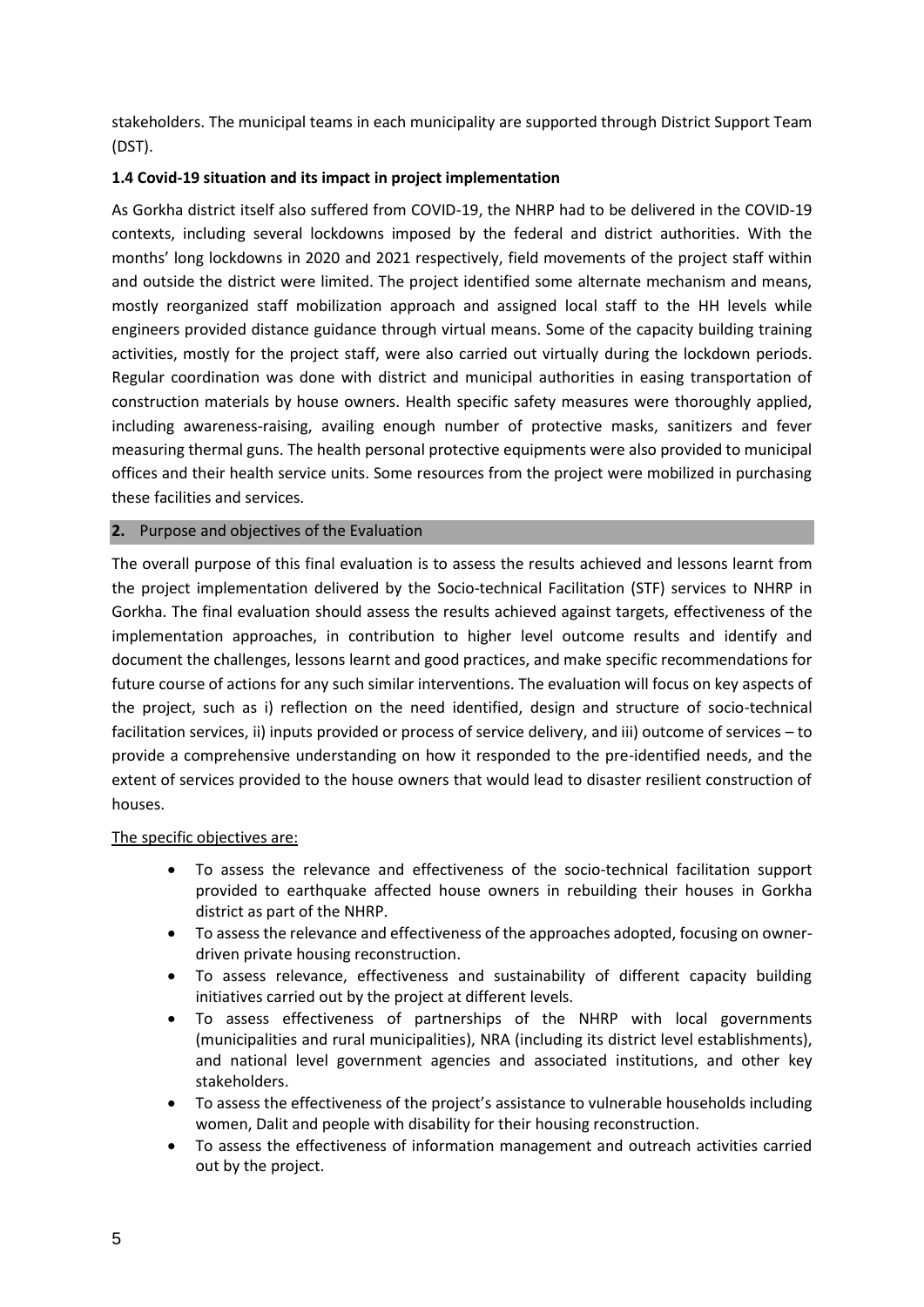stakeholders. The municipal teams in each municipality are supported through District Support Team (DST).

# **1.4 Covid-19 situation and its impact in project implementation**

As Gorkha district itself also suffered from COVID-19, the NHRP had to be delivered in the COVID-19 contexts, including several lockdowns imposed by the federal and district authorities. With the months' long lockdowns in 2020 and 2021 respectively, field movements of the project staff within and outside the district were limited. The project identified some alternate mechanism and means, mostly reorganized staff mobilization approach and assigned local staff to the HH levels while engineers provided distance guidance through virtual means. Some of the capacity building training activities, mostly for the project staff, were also carried out virtually during the lockdown periods. Regular coordination was done with district and municipal authorities in easing transportation of construction materials by house owners. Health specific safety measures were thoroughly applied, including awareness-raising, availing enough number of protective masks, sanitizers and fever measuring thermal guns. The health personal protective equipments were also provided to municipal offices and their health service units. Some resources from the project were mobilized in purchasing these facilities and services.

## **2.** Purpose and objectives of the Evaluation

The overall purpose of this final evaluation is to assess the results achieved and lessons learnt from the project implementation delivered by the Socio-technical Facilitation (STF) services to NHRP in Gorkha. The final evaluation should assess the results achieved against targets, effectiveness of the implementation approaches, in contribution to higher level outcome results and identify and document the challenges, lessons learnt and good practices, and make specific recommendations for future course of actions for any such similar interventions. The evaluation will focus on key aspects of the project, such as i) reflection on the need identified, design and structure of socio-technical facilitation services, ii) inputs provided or process of service delivery, and iii) outcome of services – to provide a comprehensive understanding on how it responded to the pre-identified needs, and the extent of services provided to the house owners that would lead to disaster resilient construction of houses.

#### The specific objectives are:

- To assess the relevance and effectiveness of the socio-technical facilitation support provided to earthquake affected house owners in rebuilding their houses in Gorkha district as part of the NHRP.
- To assess the relevance and effectiveness of the approaches adopted, focusing on ownerdriven private housing reconstruction.
- To assess relevance, effectiveness and sustainability of different capacity building initiatives carried out by the project at different levels.
- To assess effectiveness of partnerships of the NHRP with local governments (municipalities and rural municipalities), NRA (including its district level establishments), and national level government agencies and associated institutions, and other key stakeholders.
- To assess the effectiveness of the project's assistance to vulnerable households including women, Dalit and people with disability for their housing reconstruction.
- To assess the effectiveness of information management and outreach activities carried out by the project.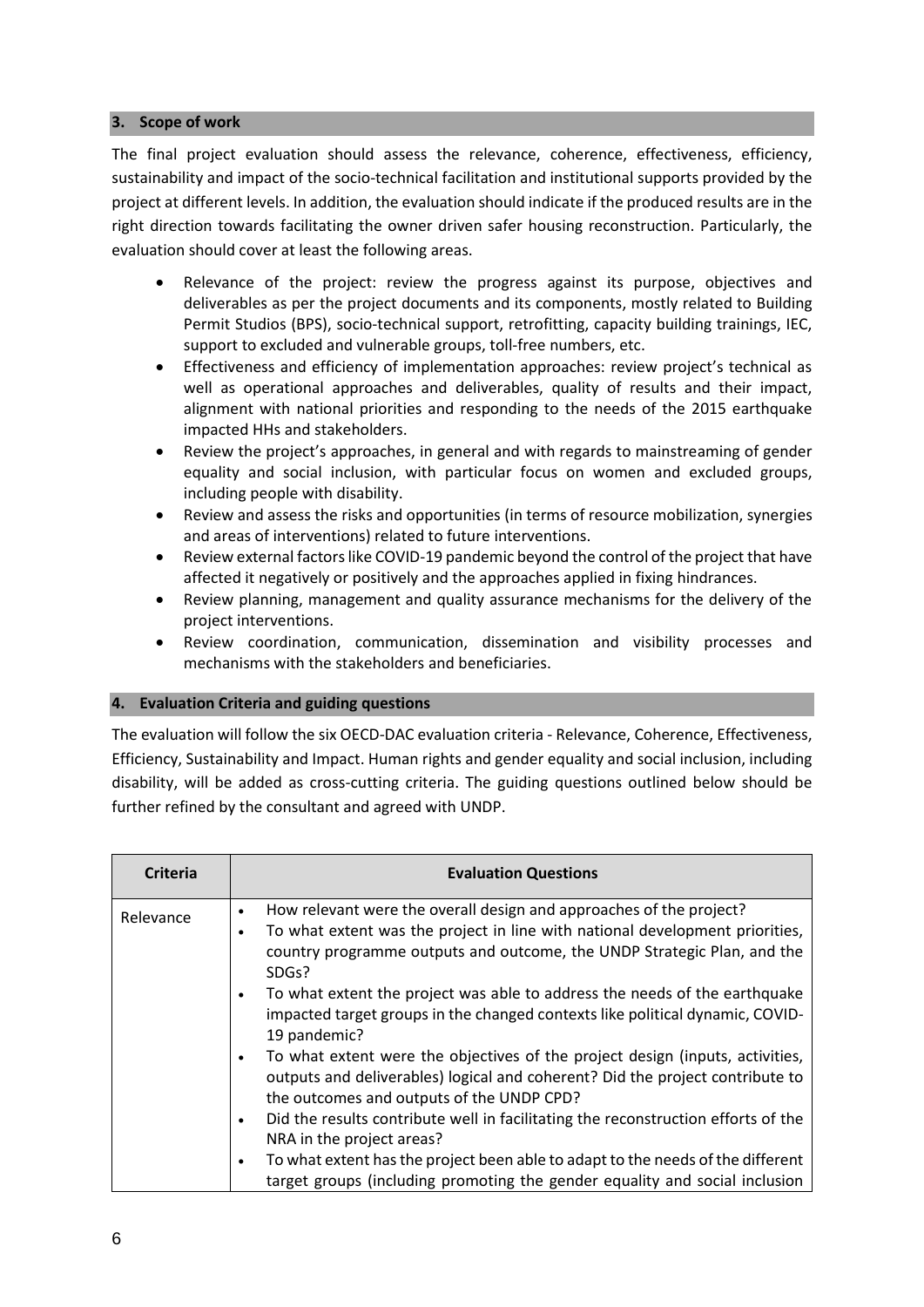### **3. Scope of work**

The final project evaluation should assess the relevance, coherence, effectiveness, efficiency, sustainability and impact of the socio-technical facilitation and institutional supports provided by the project at different levels. In addition, the evaluation should indicate if the produced results are in the right direction towards facilitating the owner driven safer housing reconstruction. Particularly, the evaluation should cover at least the following areas.

- Relevance of the project: review the progress against its purpose, objectives and deliverables as per the project documents and its components, mostly related to Building Permit Studios (BPS), socio-technical support, retrofitting, capacity building trainings, IEC, support to excluded and vulnerable groups, toll-free numbers, etc.
- Effectiveness and efficiency of implementation approaches: review project's technical as well as operational approaches and deliverables, quality of results and their impact, alignment with national priorities and responding to the needs of the 2015 earthquake impacted HHs and stakeholders.
- Review the project's approaches, in general and with regards to mainstreaming of gender equality and social inclusion, with particular focus on women and excluded groups, including people with disability.
- Review and assess the risks and opportunities (in terms of resource mobilization, synergies and areas of interventions) related to future interventions.
- Review external factors like COVID-19 pandemic beyond the control of the project that have affected it negatively or positively and the approaches applied in fixing hindrances.
- Review planning, management and quality assurance mechanisms for the delivery of the project interventions.
- Review coordination, communication, dissemination and visibility processes and mechanisms with the stakeholders and beneficiaries.

# **4. Evaluation Criteria and guiding questions**

The evaluation will follow the six OECD-DAC evaluation criteria - Relevance, Coherence, Effectiveness, Efficiency, Sustainability and Impact. Human rights and gender equality and social inclusion, including disability, will be added as cross-cutting criteria. The guiding questions outlined below should be further refined by the consultant and agreed with UNDP.

| <b>Criteria</b> | <b>Evaluation Questions</b>                                                                                                                                                                                                                  |
|-----------------|----------------------------------------------------------------------------------------------------------------------------------------------------------------------------------------------------------------------------------------------|
| Relevance       | How relevant were the overall design and approaches of the project?<br>To what extent was the project in line with national development priorities,<br>٠<br>country programme outputs and outcome, the UNDP Strategic Plan, and the<br>SDGs? |
|                 | To what extent the project was able to address the needs of the earthquake<br>٠<br>impacted target groups in the changed contexts like political dynamic, COVID-<br>19 pandemic?                                                             |
|                 | To what extent were the objectives of the project design (inputs, activities,<br>$\bullet$<br>outputs and deliverables) logical and coherent? Did the project contribute to<br>the outcomes and outputs of the UNDP CPD?                     |
|                 | Did the results contribute well in facilitating the reconstruction efforts of the<br>$\bullet$<br>NRA in the project areas?                                                                                                                  |
|                 | To what extent has the project been able to adapt to the needs of the different<br>٠<br>target groups (including promoting the gender equality and social inclusion                                                                          |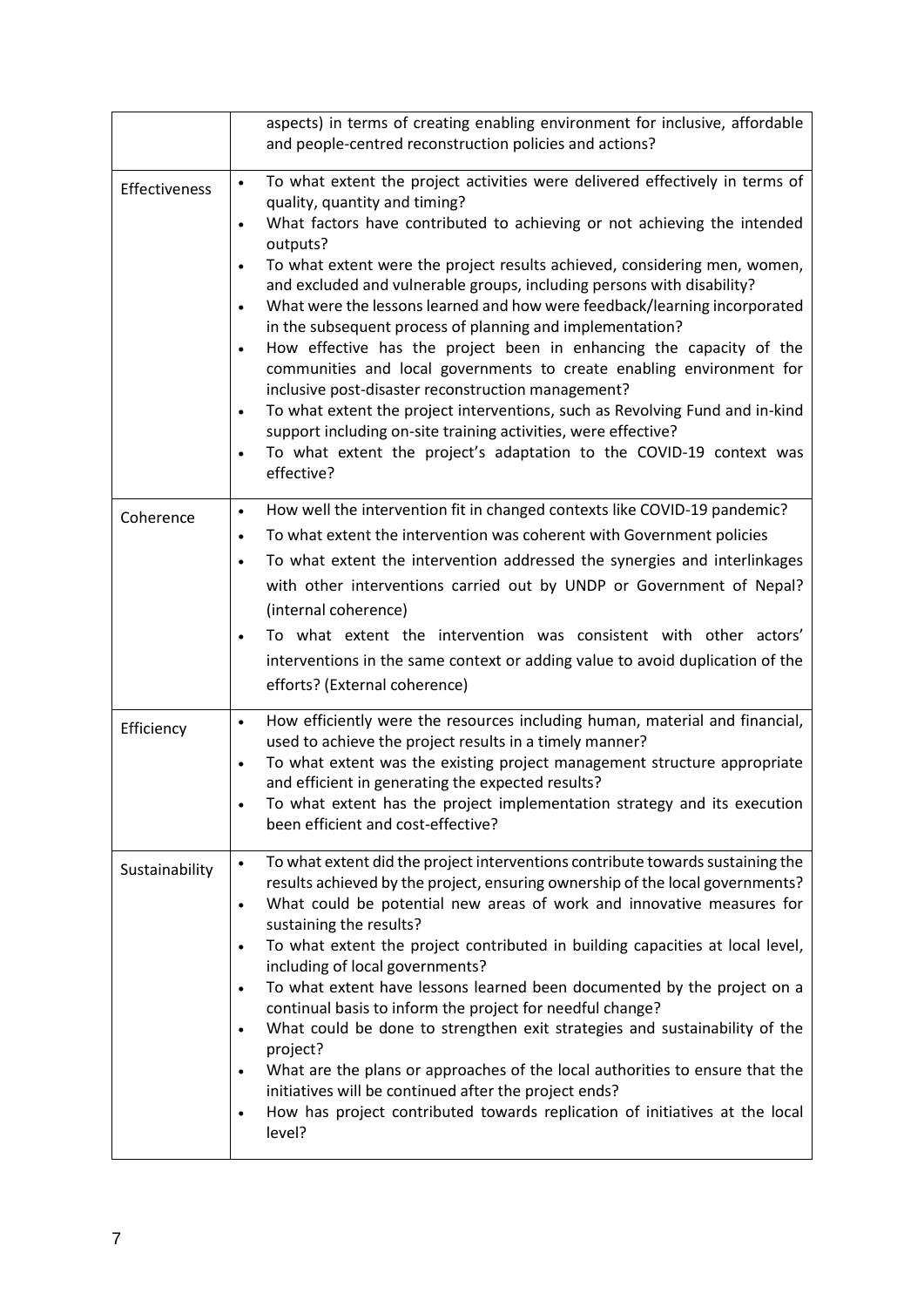|                | aspects) in terms of creating enabling environment for inclusive, affordable<br>and people-centred reconstruction policies and actions?                                                                                                                                                                                                                                                                                                                                                                                                                                                                                                                                                                                                                                                                                                                                                                                                                                                                             |
|----------------|---------------------------------------------------------------------------------------------------------------------------------------------------------------------------------------------------------------------------------------------------------------------------------------------------------------------------------------------------------------------------------------------------------------------------------------------------------------------------------------------------------------------------------------------------------------------------------------------------------------------------------------------------------------------------------------------------------------------------------------------------------------------------------------------------------------------------------------------------------------------------------------------------------------------------------------------------------------------------------------------------------------------|
| Effectiveness  | To what extent the project activities were delivered effectively in terms of<br>quality, quantity and timing?<br>What factors have contributed to achieving or not achieving the intended<br>$\bullet$<br>outputs?<br>To what extent were the project results achieved, considering men, women,<br>$\bullet$<br>and excluded and vulnerable groups, including persons with disability?<br>What were the lessons learned and how were feedback/learning incorporated<br>$\bullet$<br>in the subsequent process of planning and implementation?<br>How effective has the project been in enhancing the capacity of the<br>$\bullet$<br>communities and local governments to create enabling environment for<br>inclusive post-disaster reconstruction management?<br>To what extent the project interventions, such as Revolving Fund and in-kind<br>$\bullet$<br>support including on-site training activities, were effective?<br>To what extent the project's adaptation to the COVID-19 context was<br>effective? |
| Coherence      | How well the intervention fit in changed contexts like COVID-19 pandemic?<br>$\bullet$<br>To what extent the intervention was coherent with Government policies<br>$\bullet$<br>To what extent the intervention addressed the synergies and interlinkages<br>$\bullet$<br>with other interventions carried out by UNDP or Government of Nepal?<br>(internal coherence)<br>To what extent the intervention was consistent with other actors'<br>$\bullet$<br>interventions in the same context or adding value to avoid duplication of the<br>efforts? (External coherence)                                                                                                                                                                                                                                                                                                                                                                                                                                          |
| Efficiency     | How efficiently were the resources including human, material and financial,<br>$\bullet$<br>used to achieve the project results in a timely manner?<br>To what extent was the existing project management structure appropriate<br>$\bullet$<br>and efficient in generating the expected results?<br>To what extent has the project implementation strategy and its execution<br>been efficient and cost-effective?                                                                                                                                                                                                                                                                                                                                                                                                                                                                                                                                                                                                 |
| Sustainability | To what extent did the project interventions contribute towards sustaining the<br>results achieved by the project, ensuring ownership of the local governments?<br>What could be potential new areas of work and innovative measures for<br>$\bullet$<br>sustaining the results?<br>To what extent the project contributed in building capacities at local level,<br>$\bullet$<br>including of local governments?<br>To what extent have lessons learned been documented by the project on a<br>$\bullet$<br>continual basis to inform the project for needful change?<br>What could be done to strengthen exit strategies and sustainability of the<br>$\bullet$<br>project?<br>What are the plans or approaches of the local authorities to ensure that the<br>$\bullet$<br>initiatives will be continued after the project ends?<br>How has project contributed towards replication of initiatives at the local<br>$\bullet$<br>level?                                                                           |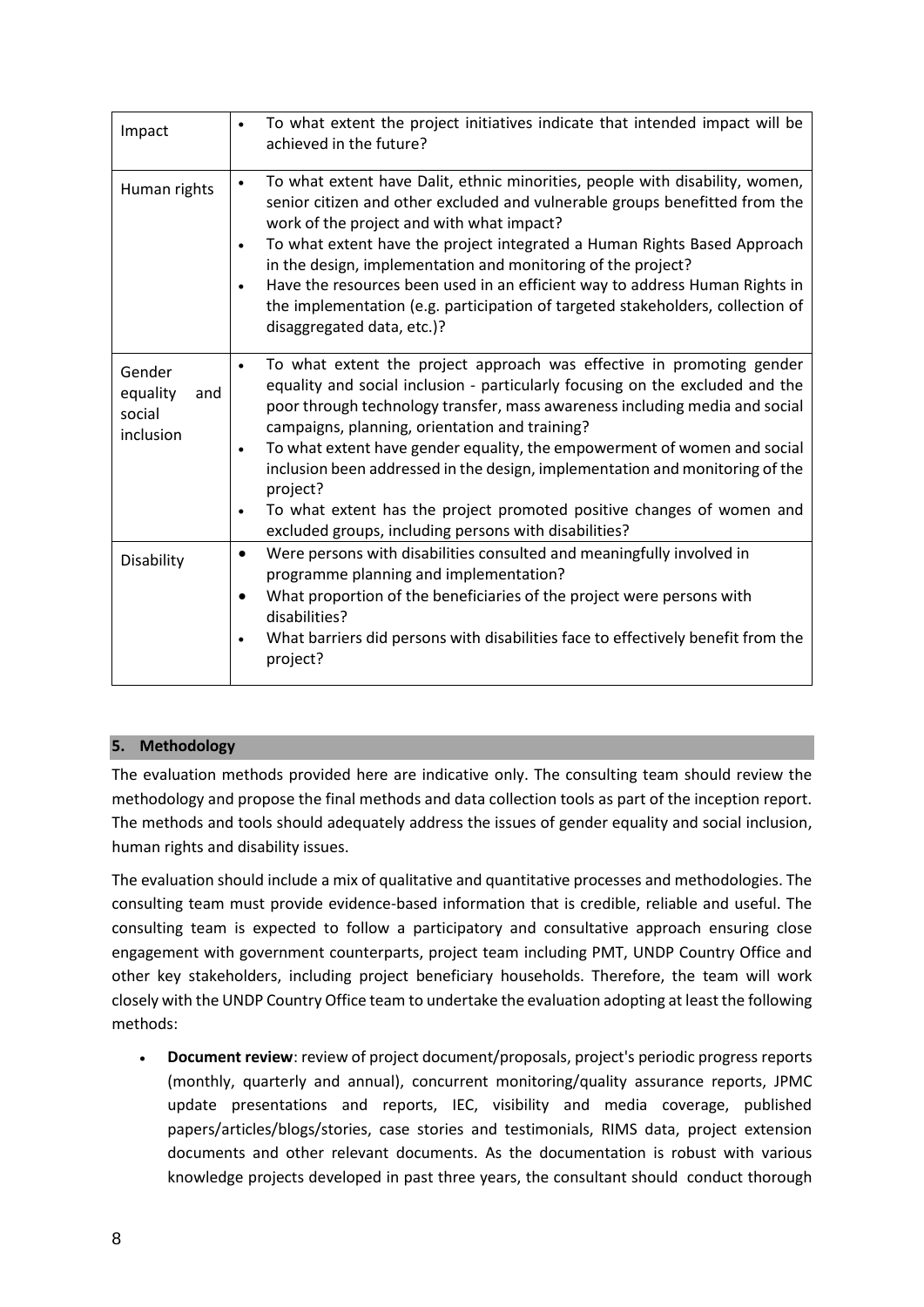| Impact                                           | To what extent the project initiatives indicate that intended impact will be<br>achieved in the future?                                                                                                                                                                                                                                                                                                                                                                                                                                                                                                                                  |
|--------------------------------------------------|------------------------------------------------------------------------------------------------------------------------------------------------------------------------------------------------------------------------------------------------------------------------------------------------------------------------------------------------------------------------------------------------------------------------------------------------------------------------------------------------------------------------------------------------------------------------------------------------------------------------------------------|
| Human rights                                     | To what extent have Dalit, ethnic minorities, people with disability, women,<br>$\bullet$<br>senior citizen and other excluded and vulnerable groups benefitted from the<br>work of the project and with what impact?<br>To what extent have the project integrated a Human Rights Based Approach<br>$\bullet$<br>in the design, implementation and monitoring of the project?<br>Have the resources been used in an efficient way to address Human Rights in<br>the implementation (e.g. participation of targeted stakeholders, collection of<br>disaggregated data, etc.)?                                                            |
| Gender<br>equality<br>and<br>social<br>inclusion | To what extent the project approach was effective in promoting gender<br>$\bullet$<br>equality and social inclusion - particularly focusing on the excluded and the<br>poor through technology transfer, mass awareness including media and social<br>campaigns, planning, orientation and training?<br>To what extent have gender equality, the empowerment of women and social<br>$\bullet$<br>inclusion been addressed in the design, implementation and monitoring of the<br>project?<br>To what extent has the project promoted positive changes of women and<br>$\bullet$<br>excluded groups, including persons with disabilities? |
| Disability                                       | Were persons with disabilities consulted and meaningfully involved in<br>$\bullet$<br>programme planning and implementation?<br>What proportion of the beneficiaries of the project were persons with<br>disabilities?<br>What barriers did persons with disabilities face to effectively benefit from the<br>project?                                                                                                                                                                                                                                                                                                                   |

# **5. Methodology**

The evaluation methods provided here are indicative only. The consulting team should review the methodology and propose the final methods and data collection tools as part of the inception report. The methods and tools should adequately address the issues of gender equality and social inclusion, human rights and disability issues.

The evaluation should include a mix of qualitative and quantitative processes and methodologies. The consulting team must provide evidence-based information that is credible, reliable and useful. The consulting team is expected to follow a participatory and consultative approach ensuring close engagement with government counterparts, project team including PMT, UNDP Country Office and other key stakeholders, including project beneficiary households. Therefore, the team will work closely with the UNDP Country Office team to undertake the evaluation adopting at least the following methods:

• **Document review**: review of project document/proposals, project's periodic progress reports (monthly, quarterly and annual), concurrent monitoring/quality assurance reports, JPMC update presentations and reports, IEC, visibility and media coverage, published papers/articles/blogs/stories, case stories and testimonials, RIMS data, project extension documents and other relevant documents. As the documentation is robust with various knowledge projects developed in past three years, the consultant should conduct thorough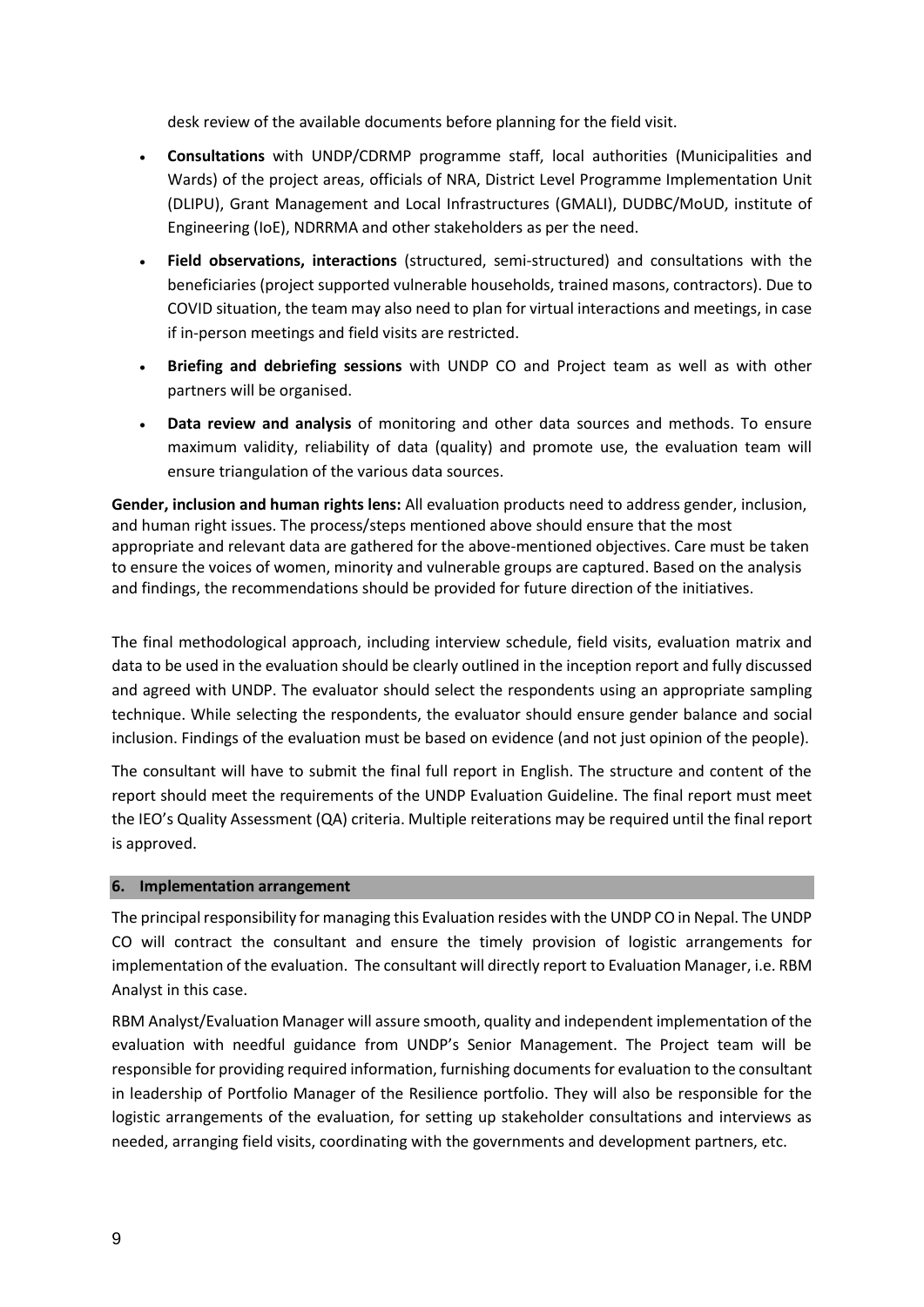desk review of the available documents before planning for the field visit.

- **Consultations** with UNDP/CDRMP programme staff, local authorities (Municipalities and Wards) of the project areas, officials of NRA, District Level Programme Implementation Unit (DLIPU), Grant Management and Local Infrastructures (GMALI), DUDBC/MoUD, institute of Engineering (IoE), NDRRMA and other stakeholders as per the need.
- **Field observations, interactions** (structured, semi-structured) and consultations with the beneficiaries (project supported vulnerable households, trained masons, contractors). Due to COVID situation, the team may also need to plan for virtual interactions and meetings, in case if in-person meetings and field visits are restricted.
- **Briefing and debriefing sessions** with UNDP CO and Project team as well as with other partners will be organised.
- **Data review and analysis** of monitoring and other data sources and methods. To ensure maximum validity, reliability of data (quality) and promote use, the evaluation team will ensure triangulation of the various data sources.

**Gender, inclusion and human rights lens:** All evaluation products need to address gender, inclusion, and human right issues. The process/steps mentioned above should ensure that the most appropriate and relevant data are gathered for the above-mentioned objectives. Care must be taken to ensure the voices of women, minority and vulnerable groups are captured. Based on the analysis and findings, the recommendations should be provided for future direction of the initiatives.

The final methodological approach, including interview schedule, field visits, evaluation matrix and data to be used in the evaluation should be clearly outlined in the inception report and fully discussed and agreed with UNDP. The evaluator should select the respondents using an appropriate sampling technique. While selecting the respondents, the evaluator should ensure gender balance and social inclusion. Findings of the evaluation must be based on evidence (and not just opinion of the people).

The consultant will have to submit the final full report in English. The structure and content of the report should meet the requirements of the UNDP Evaluation Guideline. The final report must meet the IEO's Quality Assessment (QA) criteria. Multiple reiterations may be required until the final report is approved.

#### **6. Implementation arrangement**

The principal responsibility for managing this Evaluation resides with the UNDP CO in Nepal. The UNDP CO will contract the consultant and ensure the timely provision of logistic arrangements for implementation of the evaluation. The consultant will directly report to Evaluation Manager, i.e. RBM Analyst in this case.

RBM Analyst/Evaluation Manager will assure smooth, quality and independent implementation of the evaluation with needful guidance from UNDP's Senior Management. The Project team will be responsible for providing required information, furnishing documents for evaluation to the consultant in leadership of Portfolio Manager of the Resilience portfolio. They will also be responsible for the logistic arrangements of the evaluation, for setting up stakeholder consultations and interviews as needed, arranging field visits, coordinating with the governments and development partners, etc.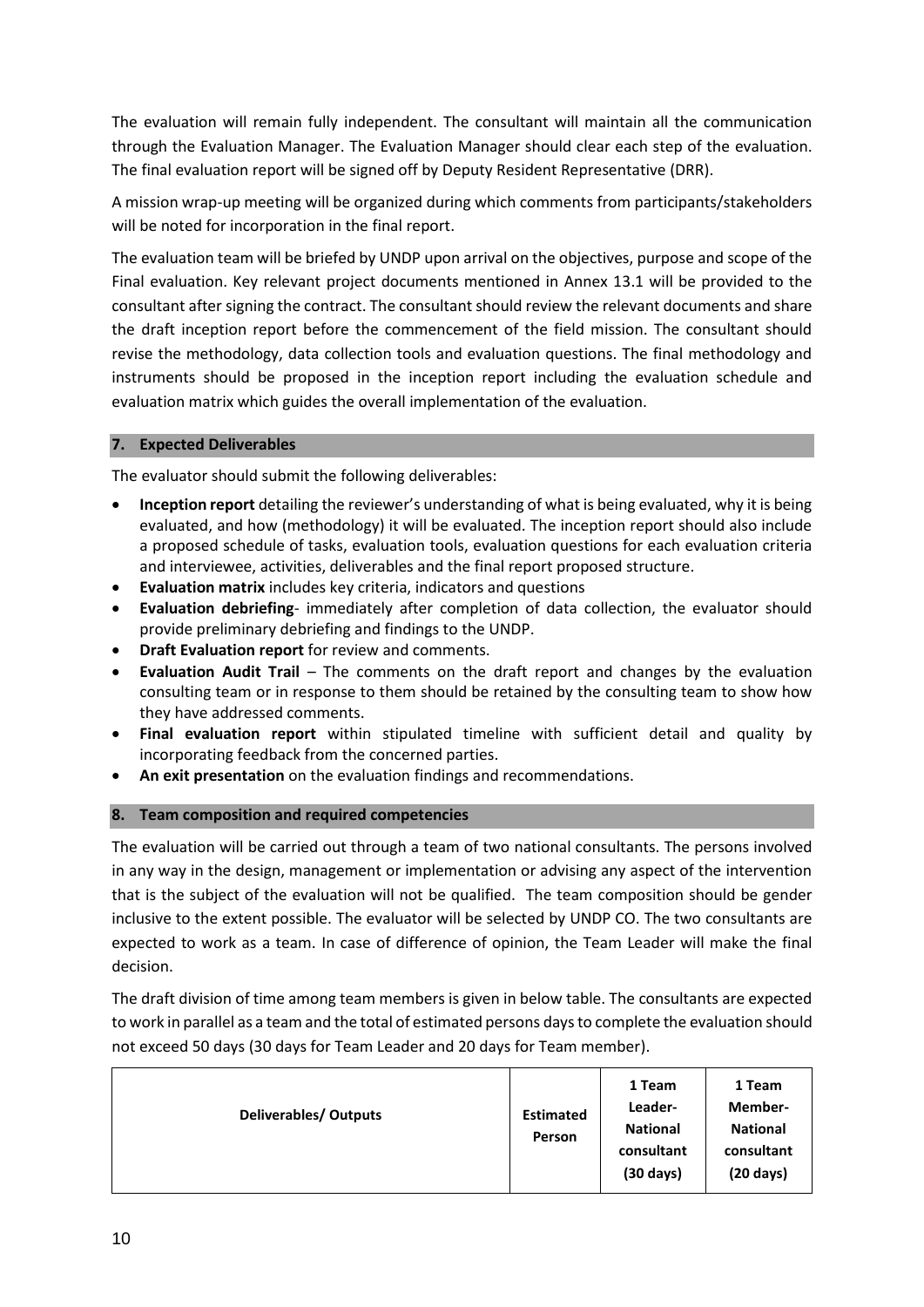The evaluation will remain fully independent. The consultant will maintain all the communication through the Evaluation Manager. The Evaluation Manager should clear each step of the evaluation. The final evaluation report will be signed off by Deputy Resident Representative (DRR).

A mission wrap-up meeting will be organized during which comments from participants/stakeholders will be noted for incorporation in the final report.

The evaluation team will be briefed by UNDP upon arrival on the objectives, purpose and scope of the Final evaluation. Key relevant project documents mentioned in Annex 13.1 will be provided to the consultant after signing the contract. The consultant should review the relevant documents and share the draft inception report before the commencement of the field mission. The consultant should revise the methodology, data collection tools and evaluation questions. The final methodology and instruments should be proposed in the inception report including the evaluation schedule and evaluation matrix which guides the overall implementation of the evaluation.

## **7. Expected Deliverables**

The evaluator should submit the following deliverables:

- **Inception report** detailing the reviewer's understanding of what is being evaluated, why it is being evaluated, and how (methodology) it will be evaluated. The inception report should also include a proposed schedule of tasks, evaluation tools, evaluation questions for each evaluation criteria and interviewee, activities, deliverables and the final report proposed structure.
- **Evaluation matrix** includes key criteria, indicators and questions
- **Evaluation debriefing** immediately after completion of data collection, the evaluator should provide preliminary debriefing and findings to the UNDP.
- **Draft Evaluation report** for review and comments.
- **Evaluation Audit Trail** The comments on the draft report and changes by the evaluation consulting team or in response to them should be retained by the consulting team to show how they have addressed comments.
- **Final evaluation report** within stipulated timeline with sufficient detail and quality by incorporating feedback from the concerned parties.
- **An exit presentation** on the evaluation findings and recommendations.

# **8. Team composition and required competencies**

The evaluation will be carried out through a team of two national consultants. The persons involved in any way in the design, management or implementation or advising any aspect of the intervention that is the subject of the evaluation will not be qualified. The team composition should be gender inclusive to the extent possible. The evaluator will be selected by UNDP CO. The two consultants are expected to work as a team. In case of difference of opinion, the Team Leader will make the final decision.

The draft division of time among team members is given in below table. The consultants are expected to work in parallel as a team and the total of estimated persons days to complete the evaluation should not exceed 50 days (30 days for Team Leader and 20 days for Team member).

| <b>Deliverables/ Outputs</b> | <b>Estimated</b><br>Person | 1 Team<br>Leader-<br><b>National</b><br>consultant<br>$(30 \text{ days})$ | 1 Team<br>Member-<br><b>National</b><br>consultant<br>$(20 \text{ days})$ |
|------------------------------|----------------------------|---------------------------------------------------------------------------|---------------------------------------------------------------------------|
|------------------------------|----------------------------|---------------------------------------------------------------------------|---------------------------------------------------------------------------|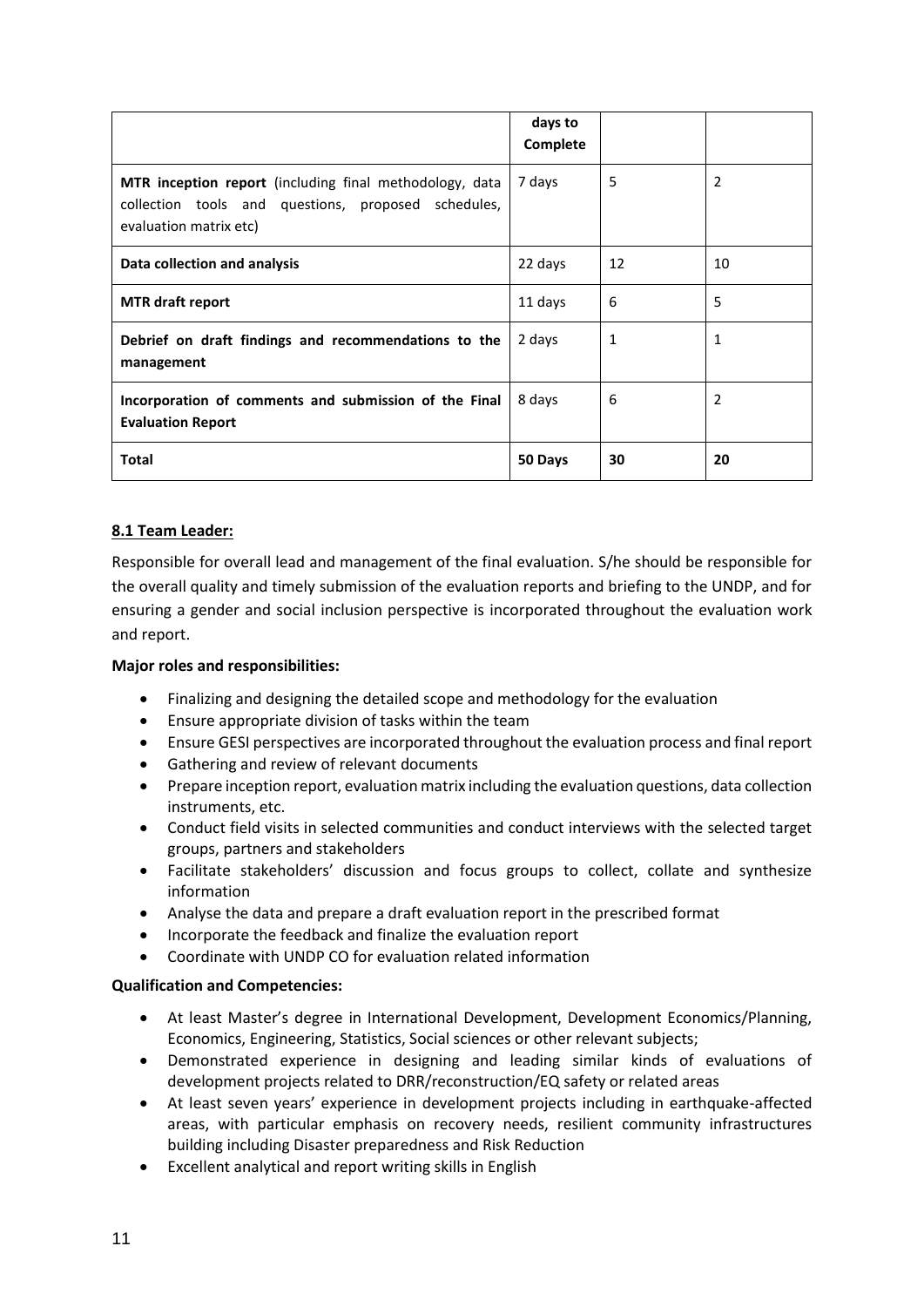|                                                                                                                                          | days to<br>Complete |    |                |
|------------------------------------------------------------------------------------------------------------------------------------------|---------------------|----|----------------|
| MTR inception report (including final methodology, data<br>collection tools and questions, proposed schedules,<br>evaluation matrix etc) | 7 days              | 5  | 2              |
| Data collection and analysis                                                                                                             | 22 days             | 12 | 10             |
| <b>MTR</b> draft report                                                                                                                  | 11 days             | 6  | 5              |
| Debrief on draft findings and recommendations to the<br>management                                                                       | 2 days              | 1  | $\mathbf{1}$   |
| Incorporation of comments and submission of the Final<br><b>Evaluation Report</b>                                                        | 8 days              | 6  | $\overline{2}$ |
| <b>Total</b>                                                                                                                             | 50 Days             | 30 | 20             |

# **8.1 Team Leader:**

Responsible for overall lead and management of the final evaluation. S/he should be responsible for the overall quality and timely submission of the evaluation reports and briefing to the UNDP, and for ensuring a gender and social inclusion perspective is incorporated throughout the evaluation work and report.

# **Major roles and responsibilities:**

- Finalizing and designing the detailed scope and methodology for the evaluation
- Ensure appropriate division of tasks within the team
- Ensure GESI perspectives are incorporated throughout the evaluation process and final report
- Gathering and review of relevant documents
- Prepare inception report, evaluation matrix including the evaluation questions, data collection instruments, etc.
- Conduct field visits in selected communities and conduct interviews with the selected target groups, partners and stakeholders
- Facilitate stakeholders' discussion and focus groups to collect, collate and synthesize information
- Analyse the data and prepare a draft evaluation report in the prescribed format
- Incorporate the feedback and finalize the evaluation report
- Coordinate with UNDP CO for evaluation related information

#### **Qualification and Competencies:**

- At least Master's degree in International Development, Development Economics/Planning, Economics, Engineering, Statistics, Social sciences or other relevant subjects;
- Demonstrated experience in designing and leading similar kinds of evaluations of development projects related to DRR/reconstruction/EQ safety or related areas
- At least seven years' experience in development projects including in earthquake-affected areas, with particular emphasis on recovery needs, resilient community infrastructures building including Disaster preparedness and Risk Reduction
- Excellent analytical and report writing skills in English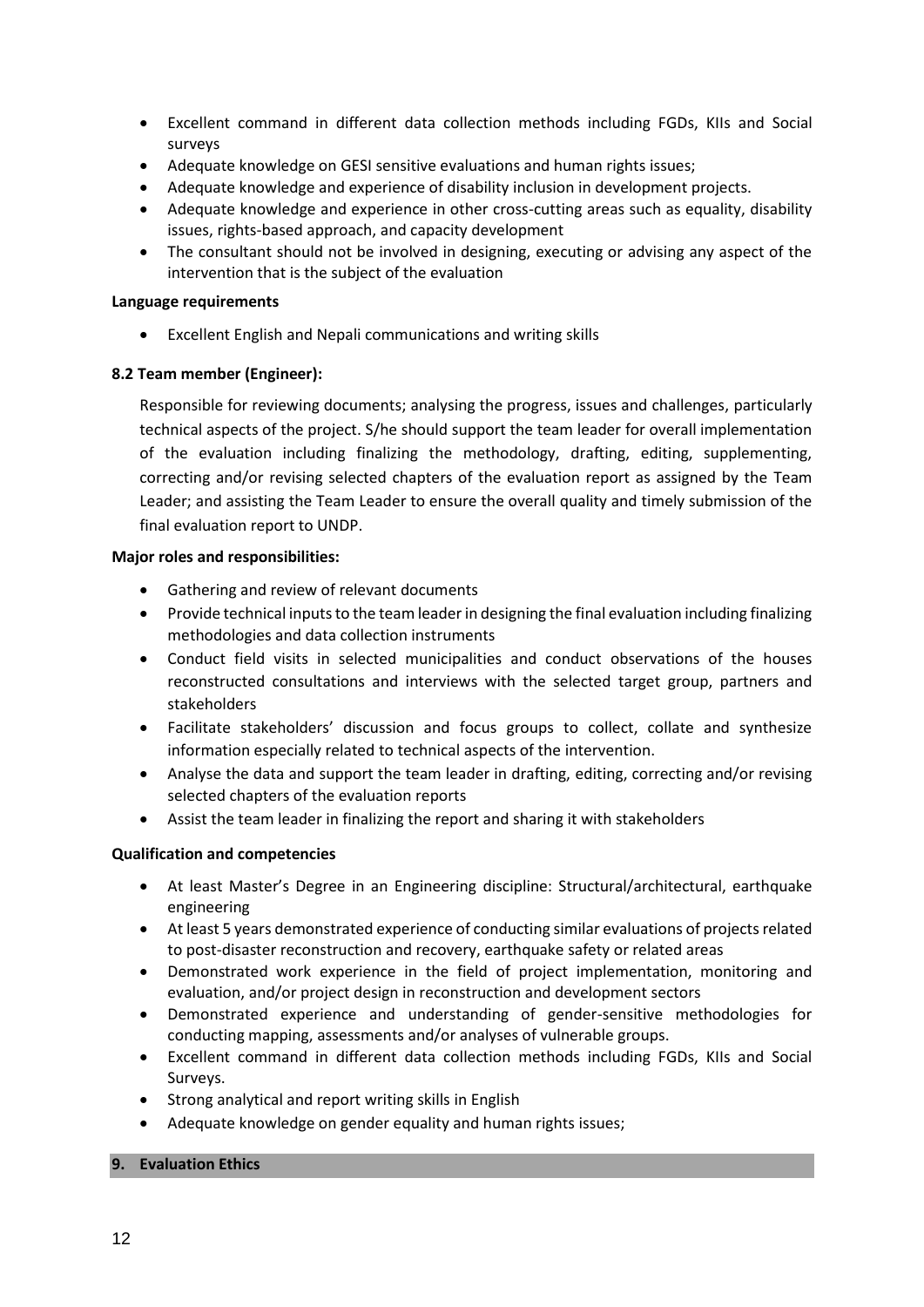- Excellent command in different data collection methods including FGDs, KIIs and Social surveys
- Adequate knowledge on GESI sensitive evaluations and human rights issues;
- Adequate knowledge and experience of disability inclusion in development projects.
- Adequate knowledge and experience in other cross-cutting areas such as equality, disability issues, rights-based approach, and capacity development
- The consultant should not be involved in designing, executing or advising any aspect of the intervention that is the subject of the evaluation

### **Language requirements**

• Excellent English and Nepali communications and writing skills

## **8.2 Team member (Engineer):**

Responsible for reviewing documents; analysing the progress, issues and challenges, particularly technical aspects of the project. S/he should support the team leader for overall implementation of the evaluation including finalizing the methodology, drafting, editing, supplementing, correcting and/or revising selected chapters of the evaluation report as assigned by the Team Leader; and assisting the Team Leader to ensure the overall quality and timely submission of the final evaluation report to UNDP.

## **Major roles and responsibilities:**

- Gathering and review of relevant documents
- Provide technical inputs to the team leader in designing the final evaluation including finalizing methodologies and data collection instruments
- Conduct field visits in selected municipalities and conduct observations of the houses reconstructed consultations and interviews with the selected target group, partners and stakeholders
- Facilitate stakeholders' discussion and focus groups to collect, collate and synthesize information especially related to technical aspects of the intervention.
- Analyse the data and support the team leader in drafting, editing, correcting and/or revising selected chapters of the evaluation reports
- Assist the team leader in finalizing the report and sharing it with stakeholders

# **Qualification and competencies**

- At least Master's Degree in an Engineering discipline: Structural/architectural, earthquake engineering
- At least 5 years demonstrated experience of conducting similar evaluations of projects related to post-disaster reconstruction and recovery, earthquake safety or related areas
- Demonstrated work experience in the field of project implementation, monitoring and evaluation, and/or project design in reconstruction and development sectors
- Demonstrated experience and understanding of gender-sensitive methodologies for conducting mapping, assessments and/or analyses of vulnerable groups.
- Excellent command in different data collection methods including FGDs, KIIs and Social Surveys.
- Strong analytical and report writing skills in English
- Adequate knowledge on gender equality and human rights issues;

# **9. Evaluation Ethics**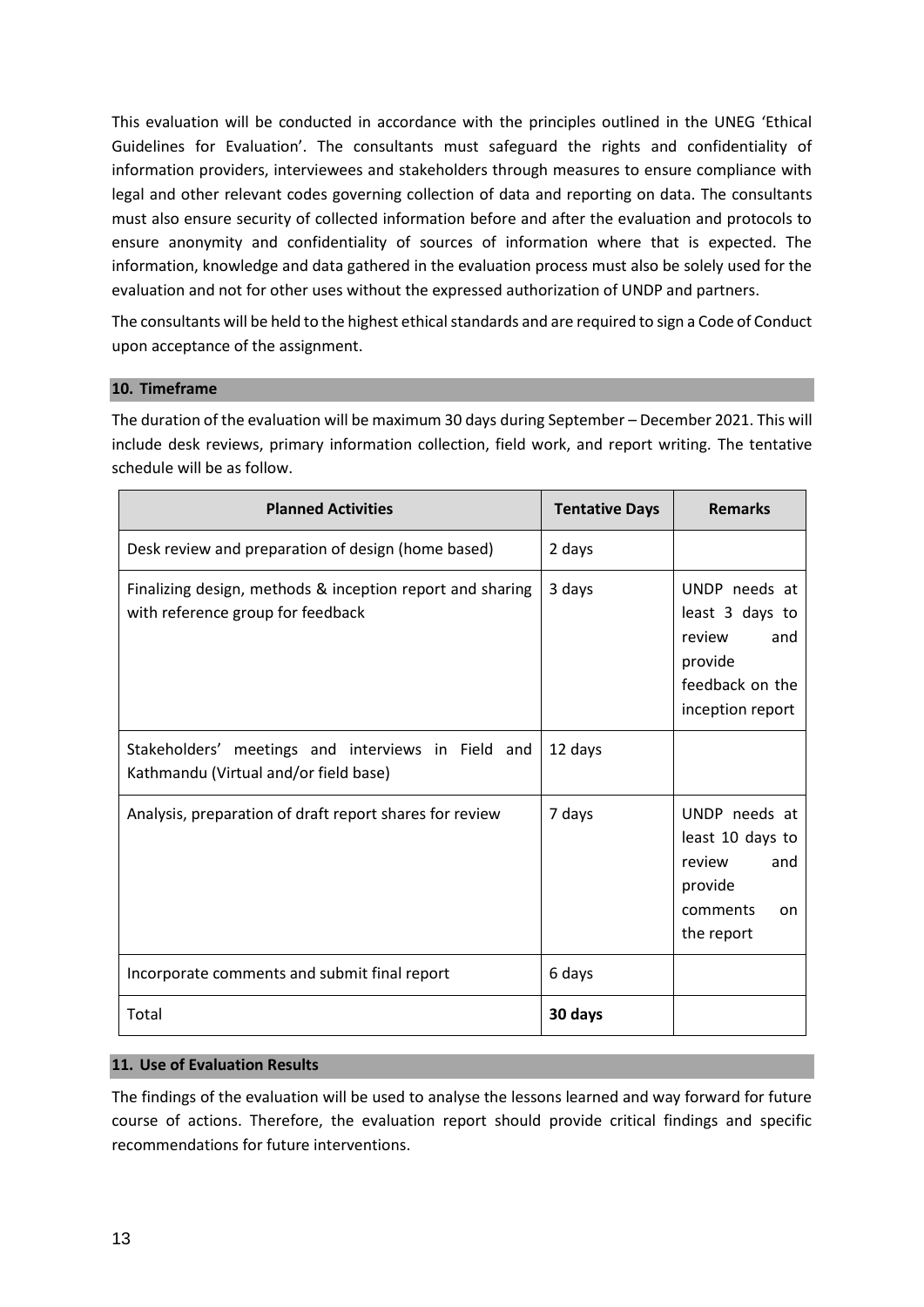This evaluation will be conducted in accordance with the principles outlined in the UNEG 'Ethical Guidelines for Evaluation'. The consultants must safeguard the rights and confidentiality of information providers, interviewees and stakeholders through measures to ensure compliance with legal and other relevant codes governing collection of data and reporting on data. The consultants must also ensure security of collected information before and after the evaluation and protocols to ensure anonymity and confidentiality of sources of information where that is expected. The information, knowledge and data gathered in the evaluation process must also be solely used for the evaluation and not for other uses without the expressed authorization of UNDP and partners.

The consultants will be held to the highest ethical standards and are required to sign a Code of Conduct upon acceptance of the assignment.

#### **10. Timeframe**

The duration of the evaluation will be maximum 30 days during September – December 2021. This will include desk reviews, primary information collection, field work, and report writing. The tentative schedule will be as follow.

| <b>Planned Activities</b>                                                                      | <b>Tentative Days</b> | <b>Remarks</b>                                                                                      |
|------------------------------------------------------------------------------------------------|-----------------------|-----------------------------------------------------------------------------------------------------|
| Desk review and preparation of design (home based)                                             | 2 days                |                                                                                                     |
| Finalizing design, methods & inception report and sharing<br>with reference group for feedback | 3 days                | UNDP needs at<br>least 3 days to<br>review<br>and<br>provide<br>feedback on the<br>inception report |
| Stakeholders' meetings and interviews in Field and<br>Kathmandu (Virtual and/or field base)    | 12 days               |                                                                                                     |
| Analysis, preparation of draft report shares for review                                        | 7 days                | UNDP needs at<br>least 10 days to<br>review<br>and<br>provide<br>comments<br>on<br>the report       |
| Incorporate comments and submit final report                                                   | 6 days                |                                                                                                     |
| Total                                                                                          | 30 days               |                                                                                                     |

#### **11. Use of Evaluation Results**

The findings of the evaluation will be used to analyse the lessons learned and way forward for future course of actions. Therefore, the evaluation report should provide critical findings and specific recommendations for future interventions.